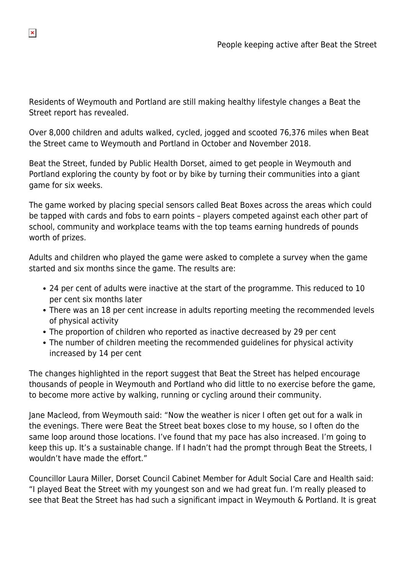Residents of Weymouth and Portland are still making healthy lifestyle changes a Beat the Street report has revealed.

Over 8,000 children and adults walked, cycled, jogged and scooted 76,376 miles when Beat the Street came to Weymouth and Portland in October and November 2018.

Beat the Street, funded by Public Health Dorset, aimed to get people in Weymouth and Portland exploring the county by foot or by bike by turning their communities into a giant game for six weeks.

The game worked by placing special sensors called Beat Boxes across the areas which could be tapped with cards and fobs to earn points – players competed against each other part of school, community and workplace teams with the top teams earning hundreds of pounds worth of prizes.

Adults and children who played the game were asked to complete a survey when the game started and six months since the game. The results are:

- 24 per cent of adults were inactive at the start of the programme. This reduced to 10 per cent six months later
- There was an 18 per cent increase in adults reporting meeting the recommended levels of physical activity
- The proportion of children who reported as inactive decreased by 29 per cent
- The number of children meeting the recommended guidelines for physical activity increased by 14 per cent

The changes highlighted in the report suggest that Beat the Street has helped encourage thousands of people in Weymouth and Portland who did little to no exercise before the game, to become more active by walking, running or cycling around their community.

Jane Macleod, from Weymouth said: "Now the weather is nicer I often get out for a walk in the evenings. There were Beat the Street beat boxes close to my house, so I often do the same loop around those locations. I've found that my pace has also increased. I'm going to keep this up. It's a sustainable change. If I hadn't had the prompt through Beat the Streets, I wouldn't have made the effort."

Councillor Laura Miller, Dorset Council Cabinet Member for Adult Social Care and Health said: "I played Beat the Street with my youngest son and we had great fun. I'm really pleased to see that Beat the Street has had such a significant impact in Weymouth & Portland. It is great

 $\pmb{\times}$